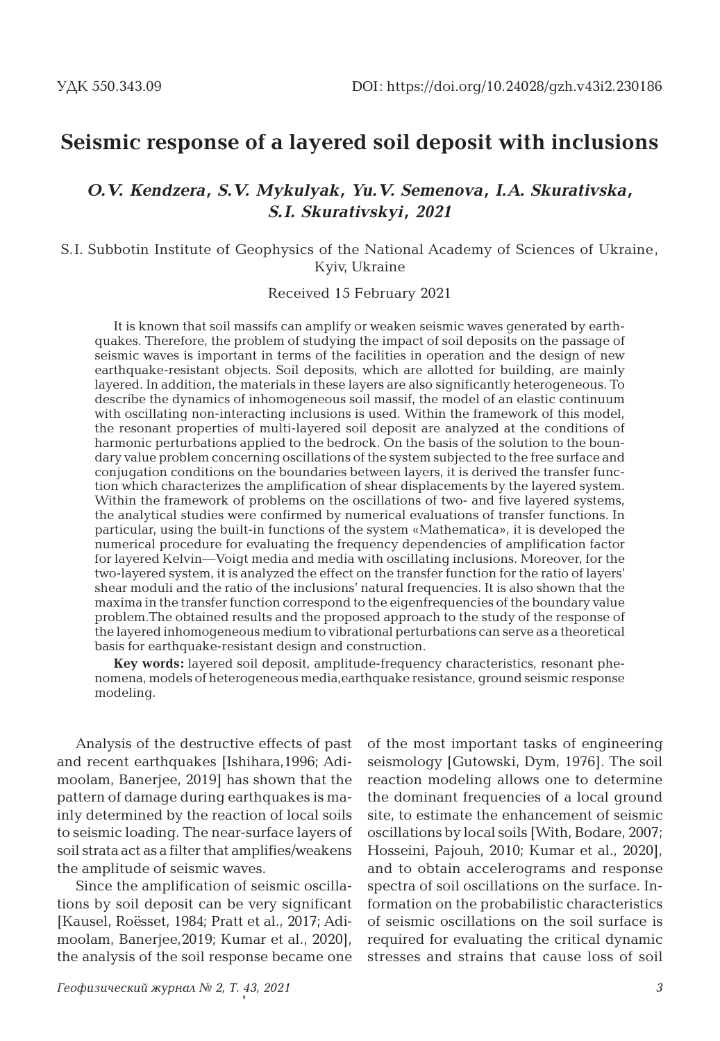## **Seismic response of a layered soil deposit with inclusions**

### *O.V. Kendzera, S.V. Mykulyak, Yu.V. Semenova, I.A. Skurativska, S.I. Skurativskyi, 2021*

### S.I. Subbotin Institute of Geophysics of the National Academy of Sciences of Ukraine, Kyiv, Ukraine

### Received 15 February 2021

It is known that soil massifs can amplify or weaken seismic waves generated by earthquakes. Therefore, the problem of studying the impact of soil deposits on the passage of seismic waves is important in terms of the facilities in operation and the design of new earthquake-resistant objects. Soil deposits, which are allotted for building, are mainly layered. In addition, the materials in these layers are also significantly heterogeneous. To describe the dynamics of inhomogeneous soil massif, the model of an elastic continuum with oscillating non-interacting inclusions is used. Within the framework of this model, the resonant properties of multi-layered soil deposit are analyzed at the conditions of harmonic perturbations applied to the bedrock. On the basis of the solution to the boundary value problem concerning oscillations of the system subjected to the free surface and conjugation conditions on the boundaries between layers, it is derived the transfer function which characterizes the amplification of shear displacements by the layered system. Within the framework of problems on the oscillations of two- and five layered systems, the analytical studies were confirmed by numerical evaluations of transfer functions. In particular, using the built-in functions of the system «Mathematica», it is developed the numerical procedure for evaluating the frequency dependencies of amplification factor for layered Kelvin—Voigt media and media with oscillating inclusions. Moreover, for the two-layered system, it is analyzed the effect on the transfer function for the ratio of layers' shear moduli and the ratio of the inclusions' natural frequencies. It is also shown that the maxima in the transfer function correspond to the eigenfrequencies of the boundary value problem.The obtained results and the proposed approach to the study of the response of the layered inhomogeneous medium to vibrational perturbations can serve as a theoretical basis for earthquake-resistant design and construction.

**Key words:** layered soil deposit, amplitude-frequency characteristics, resonant phenomena, models of heterogeneous media,earthquake resistance, ground seismic response modeling.

Analysis of the destructive effects of past and recent earthquakes [Ishihara,1996; Adimoolam, Banerjee, 2019] has shown that the pattern of damage during earthquakes is mainly determined by the reaction of local soils to seismic loading. The near-surface layers of soil strata act as a filter that amplifies/weakens the amplitude of seismic waves.

Since the amplification of seismic oscillations by soil deposit can be very significant [Kausel, Roёsset, 1984; Pratt et al., 2017; Adimoolam, Banerjee,2019; Kumar et al., 2020], the analysis of the soil response became one

of the most important tasks of engineering seismology [Gutowski, Dym, 1976]. The soil reaction modeling allows one to determine the dominant frequencies of a local ground site, to estimate the enhancement of seismic oscillations by local soils [With, Bodare, 2007; Hosseini, Pajouh, 2010; Kumar et al., 2020], and to obtain accelerograms and response spectra of soil oscillations on the surface. Information on the probabilistic characteristics of seismic oscillations on the soil surface is required for evaluating the critical dynamic stresses and strains that cause loss of soil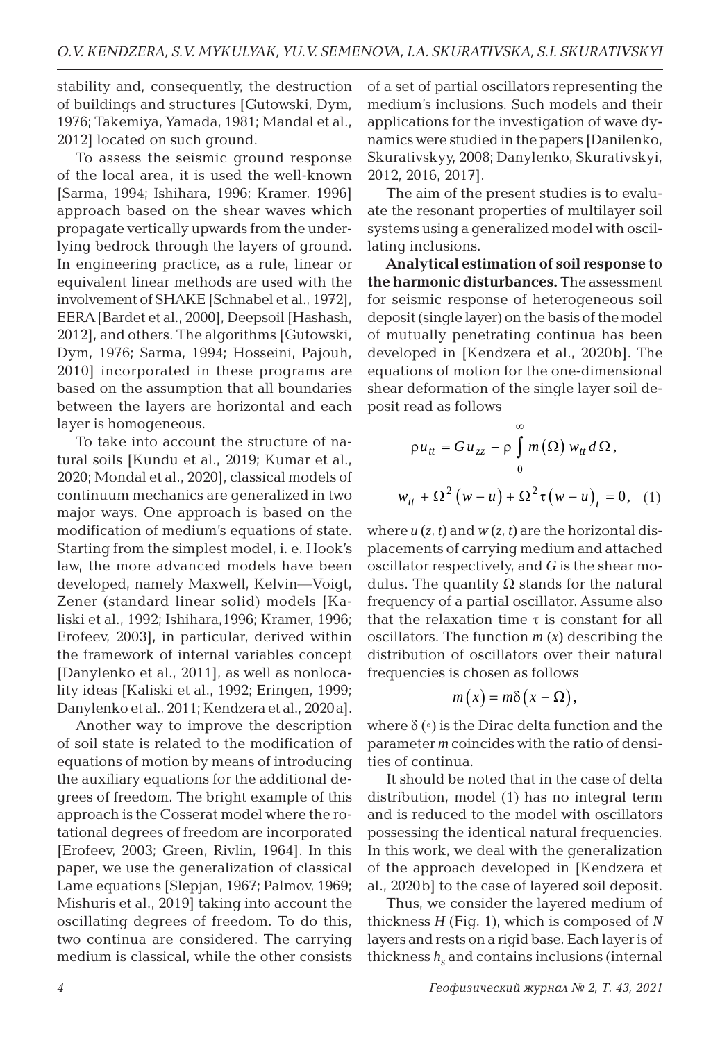stability and, consequently, the destruction of buildings and structures [Gutowski, Dym, 1976; Takemiya, Yamada, 1981; Mandal et al., 2012] located on such ground.

To assess the seismic ground response of the local area, it is used the well-known [Sarma, 1994; Ishihara, 1996; Kramer, 1996] approach based on the shear waves which propagate vertically upwards from the underlying bedrock through the layers of ground. In engineering practice, as a rule, linear or equivalent linear methods are used with the involvement of SHAKE [Schnabel et al., 1972], EERA [Bardet et al., 2000], Deepsoil [Hashash, 2012], and others. The algorithms [Gutowski, Dym, 1976; Sarma, 1994; Hosseini, Pajouh, 2010] incorporated in these programs are based on the assumption that all boundaries between the layers are horizontal and each layer is homogeneous.

To take into account the structure of natural soils [Kundu et al., 2019; Kumar et al., 2020; Mondal et al., 2020], classical models of continuum mechanics are generalized in two major ways. One approach is based on the modification of medium's equations of state. Starting from the simplest model, i. e. Hook's law, the more advanced models have been developed, namely Maxwell, Kelvin—Voigt, Zener (standard linear solid) models [Kaliski et al., 1992; Ishihara,1996; Kramer, 1996; Erofeev, 2003], in particular, derived within the framework of internal variables concept [Danylenko et al., 2011], as well as nonlocality ideas [Kaliski et al., 1992; Eringen, 1999; Danylenko et al., 2011; Kendzera et al., 2020a].

Another way to improve the description of soil state is related to the modification of equations of motion by means of introducing the auxiliary equations for the additional degrees of freedom. The bright example of this approach is the Cosserat model where the rotational degrees of freedom are incorporated [Erofeev, 2003; Green, Rivlin, 1964]. In this paper, we use the generalization of classical Lame equations [Slepjan, 1967; Palmov, 1969; Mishuris et al., 2019] taking into account the oscillating degrees of freedom. To do this, two continua are considered. The carrying medium is classical, while the other consists

of a set of partial oscillators representing the medium's inclusions. Such models and their applications for the investigation of wave dynamics were studied in the papers [Danilenko, Skurativskyy, 2008; Danylenko, Skurativskyi, 2012, 2016, 2017].

The aim of the present studies is to evaluate the resonant properties of multilayer soil systems using a generalized model with oscillating inclusions.

**Analytical estimation of soil response to the harmonic disturbances.** The assessment for seismic response of heterogeneous soil deposit (single layer) on the basis of the model of mutually penetrating continua has been developed in [Kendzera et al., 2020b]. The equations of motion for the one-dimensional shear deformation of the single layer soil deposit read as follows

$$
\rho u_{tt} = Gu_{zz} - \rho \int_{0}^{\infty} m(\Omega) w_{tt} d\Omega,
$$
  

$$
w_{tt} + \Omega^{2} (w - u) + \Omega^{2} \tau (w - u)_{t} = 0, (1)
$$

where  $u(z, t)$  and  $w(z, t)$  are the horizontal displacements of carrying medium and attached oscillator respectively, and *G* is the shear modulus. The quantity Ω stands for the natural frequency of a partial oscillator. Assume also that the relaxation time  $\tau$  is constant for all oscillators. The function *m* (*x*) describing the distribution of oscillators over their natural frequencies is chosen as follows

$$
m(x)=m\delta(x-\Omega),
$$

where  $\delta(\cdot)$  is the Dirac delta function and the parameter *m* coincides with the ratio of densities of continua.

It should be noted that in the case of delta distribution, model (1) has no integral term and is reduced to the model with oscillators possessing the identical natural frequencies. In this work, we deal with the generalization of the approach developed in [Kendzera et al., 2020b] to the case of layered soil deposit.

Thus, we consider the layered medium of thickness *H* (Fig. 1), which is composed of *N* layers and rests on a rigid base. Each layer is of thickness  $h_s$  and contains inclusions (internal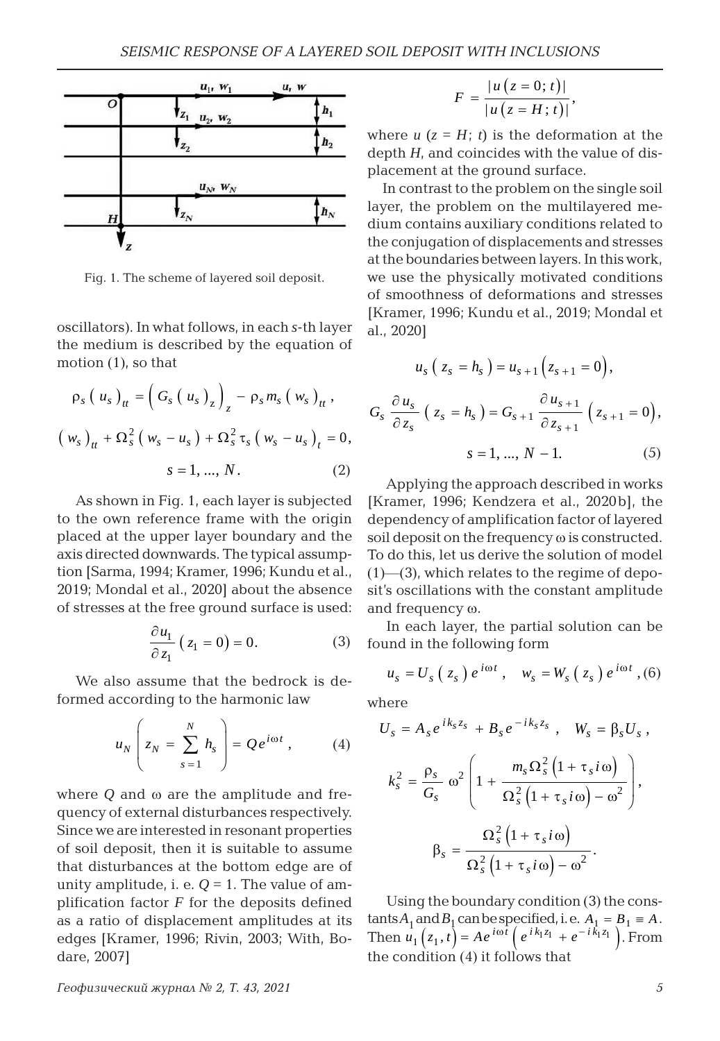

Fig. 1. The scheme of layered soil deposit.

oscillators). In what follows, in each *s*-th layer the medium is described by the equation of motion (1), so that

$$
\rho_{s} (u_{s})_{tt} = (G_{s} (u_{s})_{z})_{z} - \rho_{s} m_{s} (w_{s})_{tt},
$$
  

$$
(w_{s})_{tt} + \Omega_{s}^{2} (w_{s} - u_{s}) + \Omega_{s}^{2} \tau_{s} (w_{s} - u_{s})_{t} = 0,
$$
  

$$
s = 1, ..., N.
$$
 (2)

As shown in Fig. 1, each layer is subjected to the own reference frame with the origin placed at the upper layer boundary and the axis directed downwards. The typical assumption [Sarma, 1994; Kramer, 1996; Kundu et al., 2019; Mondal et al., 2020] about the absence of stresses at the free ground surface is used:

$$
\frac{\partial u_1}{\partial z_1} (z_1 = 0) = 0.
$$
 (3)

We also assume that the bedrock is deformed according to the harmonic law

$$
u_N\left(z_N=\sum_{s=1}^N h_s\right)=Qe^{i\omega t},\qquad(4)
$$

where *Q* and ω are the amplitude and frequency of external disturbances respectively. Since we are interested in resonant properties of soil deposit, then it is suitable to assume that disturbances at the bottom edge are of unity amplitude, i. e.  $Q = 1$ . The value of amplification factor  $F$  for the deposits defined as a ratio of displacement amplitudes at its edges [Kramer, 1996; Rivin, 2003; With, Bodare, 2007]

$$
F = \frac{|u(z = 0; t)|}{|u(z = H; t)|},
$$

where  $u$  ( $z = H$ ; *t*) is the deformation at the depth *H*, and coincides with the value of displacement at the ground surface.

In contrast to the problem on the single soil layer, the problem on the multilayered medium contains auxiliary conditions related to the conjugation of displacements and stresses at the boundaries between layers. In this work, we use the physically motivated conditions of smoothness of deformations and stresses [Kramer, 1996; Kundu et al., 2019; Mondal et al., 2020]

$$
u_s (z_s = h_s) = u_{s+1} (z_{s+1} = 0),
$$
  

$$
G_s \frac{\partial u_s}{\partial z_s} (z_s = h_s) = G_{s+1} \frac{\partial u_{s+1}}{\partial z_{s+1}} (z_{s+1} = 0),
$$
  

$$
s = 1, ..., N - 1.
$$
 (5)

Applying the approach described in works [Kramer, 1996; Kendzera et al., 2020b], the dependency of amplification factor of layered soil deposit on the frequency ω is constructed. To do this, let us derive the solution of model  $(1)$ — $(3)$ , which relates to the regime of deposit's oscillations with the constant amplitude and frequency ω.

In each layer, the partial solution can be found in the following form

$$
u_s = U_s(z_s) e^{i\omega t}, \quad w_s = W_s(z_s) e^{i\omega t}, (6)
$$

where

$$
U_s = A_s e^{ik_s z_s} + B_s e^{-ik_s z_s}, \quad W_s = \beta_s U_s,
$$
  

$$
k_s^2 = \frac{\rho_s}{G_s} \omega^2 \left( 1 + \frac{m_s \Omega_s^2 \left( 1 + \tau_s i \omega \right)}{\Omega_s^2 \left( 1 + \tau_s i \omega \right) - \omega^2} \right),
$$
  

$$
\beta_s = \frac{\Omega_s^2 \left( 1 + \tau_s i \omega \right)}{\Omega_s^2 \left( 1 + \tau_s i \omega \right) - \omega^2}.
$$

Using the boundary condition (3) the cons $tants A<sub>1</sub> and B<sub>1</sub> can be specified, i.e. A<sub>1</sub> = B<sub>1</sub> \equiv A.$ Then  $u_1 ( z_1, t ) = A e^{i \omega t} ( e^{i k_1 z_1} + e^{-i k_1 z_1} )$ . From the condition (4) it follows that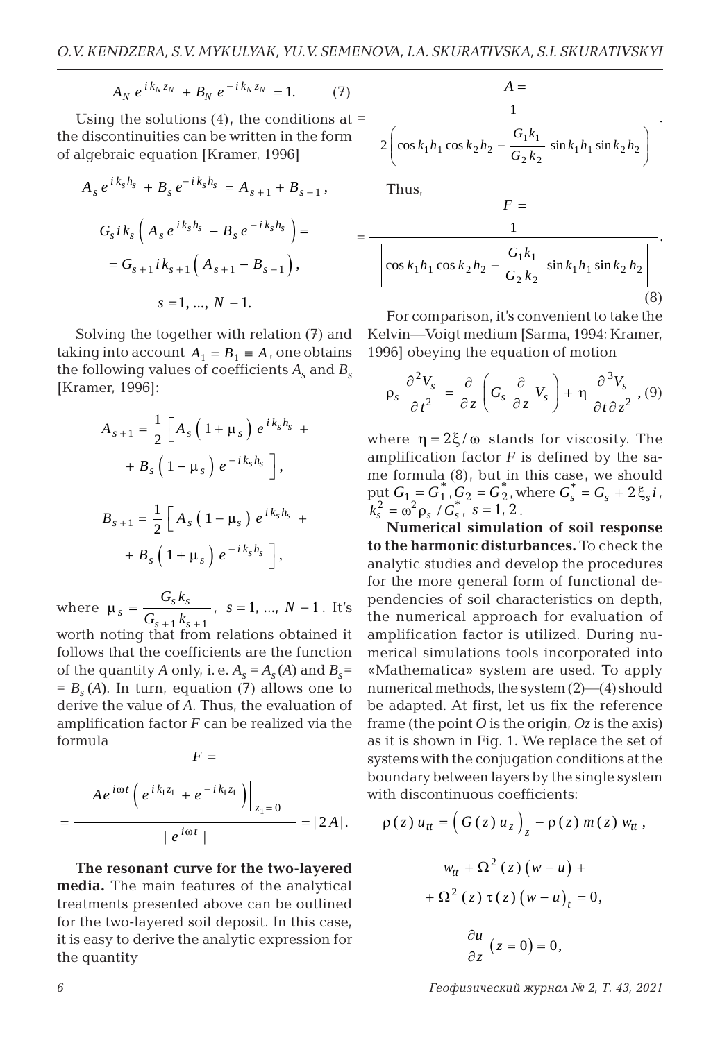$$
A_N \, e^{i \, k_N \, z_N} \, + B_N \, e^{-i \, k_N \, z_N} \, = 1. \tag{7}
$$

Using the solutions  $(4)$ , the conditions at  $=$ the discontinuities can be written in the form of algebraic equation [Kramer, 1996]

$$
A_{s} e^{ik_{s}h_{s}} + B_{s} e^{-ik_{s}h_{s}} = A_{s+1} + B_{s+1},
$$
  

$$
G_{s}ik_{s} \left( A_{s} e^{ik_{s}h_{s}} - B_{s} e^{-ik_{s}h_{s}} \right) =
$$
  

$$
= G_{s+1}ik_{s+1} \left( A_{s+1} - B_{s+1} \right),
$$
  

$$
s = 1, ..., N - 1.
$$

Solving the together with relation (7) and taking into account  $A_1 = B_1 \equiv A$ , one obtains the following values of coefficients  $A_s$  and  $B_s$ [Kramer, 1996]:

$$
A_{s+1} = \frac{1}{2} \left[ A_s \left( 1 + \mu_s \right) e^{ik_s h_s} +
$$

$$
+ B_s \left( 1 - \mu_s \right) e^{-ik_s h_s} \right],
$$

$$
B_{s+1} = \frac{1}{2} \left[ A_s \left( 1 - \mu_s \right) e^{ik_s h_s} +
$$

$$
+ B_s \left( 1 + \mu_s \right) e^{-ik_s h_s} \right],
$$

where  $\mu_s = \frac{G_s \kappa_s}{C - k}$  $s + 1$ <sup>K</sup> $s$  $G_{s}k$  $G_{s+1} k_{s+1}$  $\mu_s =$  $1 \frac{\kappa}{s} + 1$ ,  $s = 1, ..., N - 1$ . It's worth noting that from relations obtained it follows that the coefficients are the function of the quantity *A* only, i. e.  $A_s = A_s(A)$  and  $B_s =$  $= B<sub>s</sub>(A)$ . In turn, equation (7) allows one to derive the value of *A*. Thus, the evaluation of amplification factor *F* can be realized via the

$$
F =
$$
\n
$$
= \frac{\left| A e^{i\omega t} \left( e^{i k_1 z_1} + e^{-i k_1 z_1} \right) \right|_{z_1 = 0}}{\left| e^{i\omega t} \right|} = |2A|.
$$

**The resonant curve for the two-layered media.** The main features of the analytical treatments presented above can be outlined for the two-layered soil deposit. In this case, it is easy to derive the analytic expression for the quantity

$$
A = \frac{1}{2 \left( \cos k_1 h_1 \cos k_2 h_2 - \frac{G_1 k_1}{G_2 k_2} \sin k_1 h_1 \sin k_2 h_2 \right)}.
$$

Thus,

$$
F = \frac{1}{\left|\cos k_1 h_1 \cos k_2 h_2 - \frac{G_1 k_1}{G_2 k_2} \sin k_1 h_1 \sin k_2 h_2\right|}
$$
\n(8)

For comparison, it's convenient to take the Kelvin—Voigt medium [Sarma, 1994; Kramer, 1996] obeying the equation of motion

$$
\rho_s \frac{\partial^2 V_s}{\partial t^2} = \frac{\partial}{\partial z} \left( G_s \frac{\partial}{\partial z} V_s \right) + \eta \frac{\partial^3 V_s}{\partial t \partial z^2}, (9)
$$

where  $\eta = 2\xi/\omega$  stands for viscosity. The amplification factor  $F$  is defined by the same formula (8), but in this case, we should put  $G_1 = G_1^*, G_2 = G_2^*$ , where  $G_s^* = G_s + 2 \xi_s i$ ,  $k_s^2 = \omega^2 \rho_s / G_s^*$ ,  $s = 1, 2$ .

**Numerical simulation of soil response to the harmonic disturbances.** To check the analytic studies and develop the procedures for the more general form of functional dependencies of soil characteristics on depth, the numerical approach for evaluation of amplification factor is utilized. During numerical simulations tools incorporated into «Mathematica» system are used. To apply numerical methods, the system (2)—(4) should be adapted. At first, let us fix the reference frame (the point  $\hat{O}$  is the origin,  $\hat{O}$ *z* is the axis) as it is shown in Fig. 1. We replace the set of systems with the conjugation conditions at the boundary between layers by the single system with discontinuous coefficients:

$$
\rho(z) u_{tt} = \left(G(z) u_z\right)_z - \rho(z) m(z) w_{tt},
$$
  

$$
w_{tt} + \Omega^2(z) (w - u) +
$$
  

$$
+ \Omega^2(z) \tau(z) (w - u)_t = 0,
$$
  

$$
\frac{\partial u}{\partial z} (z = 0) = 0,
$$

*6 Геофизический журнал № 2, Т. 43, 2021*

formula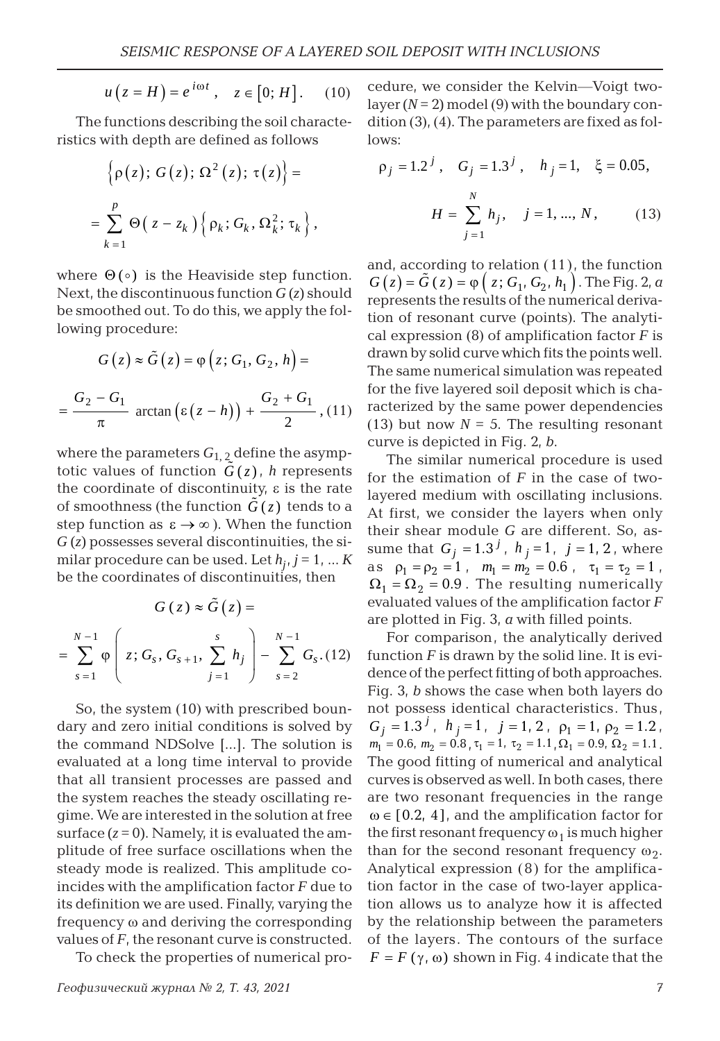$$
u(z = H) = e^{i\omega t}, \quad z \in [0; H]. \quad (10)
$$

The functions describing the soil characteristics with depth are defined as follows

$$
\left\{\rho(z); G(z); \Omega^2(z); \tau(z)\right\} =
$$
  
= 
$$
\sum_{k=1}^p \Theta(z - z_k) \left\{\rho_k; G_k, \Omega_k^2; \tau_k\right\},\,
$$

where  $\Theta$  ( $\circ$ ) is the Heaviside step function. Next, the discontinuous function  $G(z)$  should be smoothed out. To do this, we apply the following procedure:

$$
G(z) \approx \tilde{G}(z) = \varphi(z; G_1, G_2, h) =
$$

$$
= \frac{G_2 - G_1}{\pi} \arctan (\varepsilon (z - h)) + \frac{G_2 + G_1}{2}, (11)
$$

where the parameters  $G_{1,2}$  define the asymptotic values of function  $\tilde{G}(z)$ , *h* represents the coordinate of discontinuity,  $ε$  is the rate of smoothness (the function  $G(z)$  tends to a step function as  $\varepsilon \to \infty$ ). When the function  $G(z)$  possesses several discontinuities, the similar procedure can be used. Let  $h_i$ ,  $j = 1, ... K$ be the coordinates of discontinuities, then

$$
G(z) \approx \tilde{G}(z) =
$$
  
= 
$$
\sum_{s=1}^{N-1} \varphi \left( z; G_s, G_{s+1}, \sum_{j=1}^s h_j \right) - \sum_{s=2}^{N-1} G_s. (12)
$$

So, the system (10) with prescribed boundary and zero initial conditions is solved by the command NDSolve [...]. The solution is evaluated at a long time interval to provide that all transient processes are passed and the system reaches the steady oscillating regime. We are interested in the solution at free surface  $(z=0)$ . Namely, it is evaluated the amplitude of free surface oscillations when the steady mode is realized. This amplitude coincides with the amplification factor *F* due to its definition we are used. Finally, varying the frequency ω and deriving the corresponding values of *F*, the resonant curve is constructed.

To check the properties of numerical pro-

cedure, we consider the Kelvin—Voigt twolayer  $(N=2)$  model (9) with the boundary condition (3), (4). The parameters are fixed as follows:

$$
\rho_j = 1.2^j, \quad G_j = 1.3^j, \quad h_j = 1, \quad \xi = 0.05,
$$

$$
H = \sum_{j=1}^N h_j, \quad j = 1, ..., N, \quad (13)
$$

and, according to relation (11), the function  $G(z) = \hat{G}(z) = \varphi(z; G_1, G_2, h_1)$ . The Fig. 2, *a* represents the results of the numerical derivation of resonant curve (points). The analytical expression (8) of amplification factor *F* is drawn by solid curve which fits the points well. The same numerical simulation was repeated for the five layered soil deposit which is characterized by the same power dependencies (13) but now  $N = 5$ . The resulting resonant curve is depicted in Fig. 2, *b*.

The similar numerical procedure is used for the estimation of *F* in the case of twolayered medium with oscillating inclusions. At first, we consider the layers when only their shear module *G* are different. So, assume that  $G_i = 1.3^j$ ,  $h_i = 1$ ,  $j = 1, 2$ , where as  $\rho_1 = \rho_2 = 1$ ,  $m_1 = m_2 = 0.6$ ,  $\tau_1 = \tau_2 = 1$ ,  $\Omega_1 = \Omega_2 = 0.9$ . The resulting numerically evaluated values of the amplification factor *F* are plotted in Fig. 3, *a* with filled points.

For comparison, the analytically derived function  $F$  is drawn by the solid line. It is evidence of the perfect fitting of both approaches. Fig. 3, *b* shows the case when both layers do not possess identical characteristics. Thus,  $G_i = 1.3^j$ ,  $h_i = 1$ ,  $j = 1, 2$ ,  $\rho_1 = 1$ ,  $\rho_2 = 1.2$ ,  $m_1 = 0.6$ ,  $m_2 = 0.8$ ,  $\tau_1 = 1$ ,  $\tau_2 = 1.1$ ,  $\Omega_1 = 0.9$ ,  $\Omega_2 = 1.1$ . The good fitting of numerical and analytical curves is observed as well. In both cases, there are two resonant frequencies in the range  $\omega \in [0.2, 4]$ , and the amplification factor for the first resonant frequency  $\omega_1$  is much higher than for the second resonant frequency  $\omega_2$ . Analytical expression (8) for the amplification factor in the case of two-layer application allows us to analyze how it is affected by the relationship between the parameters of the layers. The contours of the surface  $F = F(\gamma, \omega)$  shown in Fig. 4 indicate that the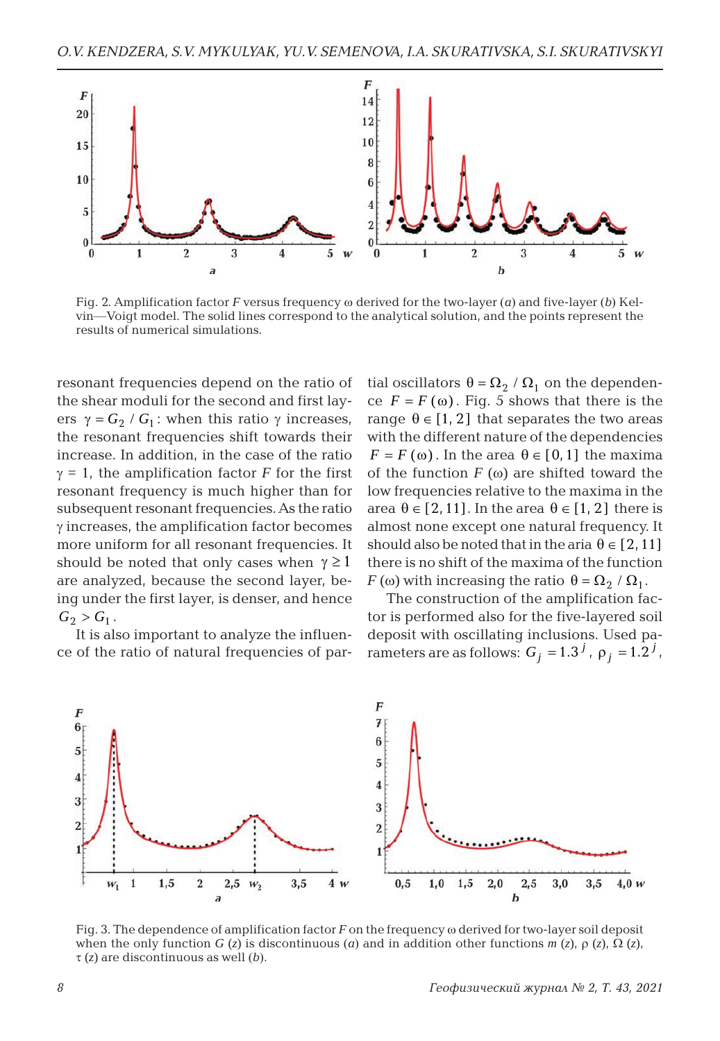

Fig. 2. Amplification factor *F* versus frequency ω derived for the two-layer (*a*) and five-layer (*b*) Kelvin—Voigt model. The solid lines correspond to the analytical solution, and the points represent the results of numerical simulations.

resonant frequencies depend on the ratio of the shear moduli for the second and first layers  $\gamma = G_2 / G_1$ : when this ratio γ increases, the resonant frequencies shift towards their increase. In addition, in the case of the ratio  $\gamma = 1$ , the amplification factor *F* for the first resonant frequency is much higher than for subsequent resonant frequencies. As the ratio  $\gamma$  increases, the amplification factor becomes more uniform for all resonant frequencies. It should be noted that only cases when  $\gamma \geq 1$ are analyzed, because the second layer, being under the first layer, is denser, and hence  $G_2 > G_1$ .

It is also important to analyze the influence of the ratio of natural frequencies of partial oscillators  $\theta = \Omega_2 / \Omega_1$  on the dependence  $F = F(\omega)$ . Fig. 5 shows that there is the range  $\theta \in [1, 2]$  that separates the two areas with the different nature of the dependencies  $F = F(\omega)$ . In the area  $\theta \in [0,1]$  the maxima of the function  $F(\omega)$  are shifted toward the low frequencies relative to the maxima in the area  $\theta \in [2, 11]$ . In the area  $\theta \in [1, 2]$  there is almost none except one natural frequency. It should also be noted that in the aria  $\theta \in [2, 11]$ there is no shift of the maxima of the function *F* (ω) with increasing the ratio  $\theta = \Omega_2 / \Omega_1$ .

The construction of the amplification factor is performed also for the five-layered soil deposit with oscillating inclusions. Used parameters are as follows:  $G_i = 1.3^J$ ,  $\rho_i = 1.2^J$ ,



Fig. 3. The dependence of amplification factor *F* on the frequency ω derived for two-layer soil deposit when the only function *G* (*z*) is discontinuous (*a*) and in addition other functions *m* (*z*),  $\rho$  (*z*),  $\Omega$  (*z*), τ (*z*) are discontinuous as well (*b*).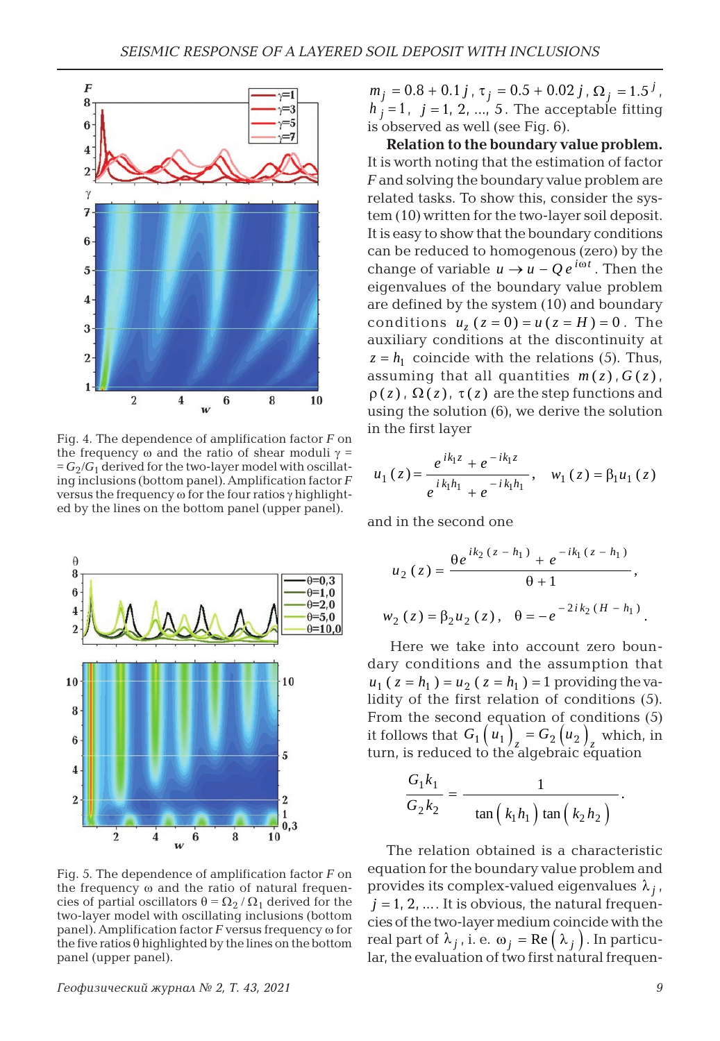

Fig. 4. The dependence of amplification factor *F* on the frequency ω and the ratio of shear moduli  $γ =$  $=G_2/G_1$  derived for the two-layer model with oscillating inclusions (bottom panel). Amplification factor *F* versus the frequency ω for the four ratios γ highlighted by the lines on the bottom panel (upper panel).



Fig. 5. The dependence of amplification factor *F* on the frequency ω and the ratio of natural frequencies of partial oscillators  $\theta = \Omega_2 / \Omega_1$  derived for the two-layer model with oscillating inclusions (bottom panel). Amplification factor *F* versus frequency ω for the five ratios θ highlighted by the lines on the bottom panel (upper panel).

 $m_j = 0.8 + 0.1 j$ ,  $\tau_j = 0.5 + 0.02 j$ ,  $\Omega_j = 1.5^j$ ,  $h_i = 1$ ,  $j = 1, 2, \ldots, 5$ . The acceptable fitting is observed as well (see Fig. 6).

**Relation to the boundary value problem.** It is worth noting that the estimation of factor *F* and solving the boundary value problem are related tasks. To show this, consider the system (10) written for the two-layer soil deposit. It is easy to show that the boundary conditions can be reduced to homogenous (zero) by the change of variable  $u \rightarrow u - Q e^{i\omega t}$ . Then the eigenvalues of the boundary value problem are defined by the system (10) and boundary conditions  $u_z ( z = 0 ) = u ( z = H ) = 0$ . The auxiliary conditions at the discontinuity at  $z = h_1$  coincide with the relations (5). Thus, assuming that all quantities  $m(z)$ ,  $G(z)$ ,  $\rho(z)$ ,  $\Omega(z)$ ,  $\tau(z)$  are the step functions and using the solution (6), we derive the solution in the first layer

$$
u_1(z) = \frac{e^{ik_1z} + e^{-ik_1z}}{e^{ik_1h_1} + e^{-ik_1h_1}}, \quad w_1(z) = \beta_1u_1(z)
$$

and in the second one

$$
u_2(z) = \frac{\theta e^{ik_2(z - h_1)} + e^{-ik_1(z - h_1)}}{\theta + 1},
$$
  

$$
w_2(z) = \beta_2 u_2(z), \quad \theta = -e^{-2ik_2(H - h_1)}.
$$

Here we take into account zero boundary conditions and the assumption that  $u_1$  (  $z = h_1$  ) =  $u_2$  (  $z = h_1$  ) = 1 providing the validity of the first relation of conditions (5). From the second equation of conditions (5) it follows that  $G_1(u_1)$ <sub>z</sub> =  $G_2(u_2)$ <sub>z</sub> which, in turn, is reduced to the algebraic equation

$$
\frac{G_1k_1}{G_2k_2} = \frac{1}{\tan\left(k_1h_1\right)\tan\left(k_2h_2\right)}.
$$

The relation obtained is a characteristic equation for the boundary value problem and provides its complex-valued eigenvalues  $\lambda_i$ ,  $j = 1, 2, \dots$  It is obvious, the natural frequencies of the two-layer medium coincide with the real part of  $\lambda_j$ , i. e.  $\omega_j = \text{Re}(\lambda_j)$ . In particular, the evaluation of two first natural frequen-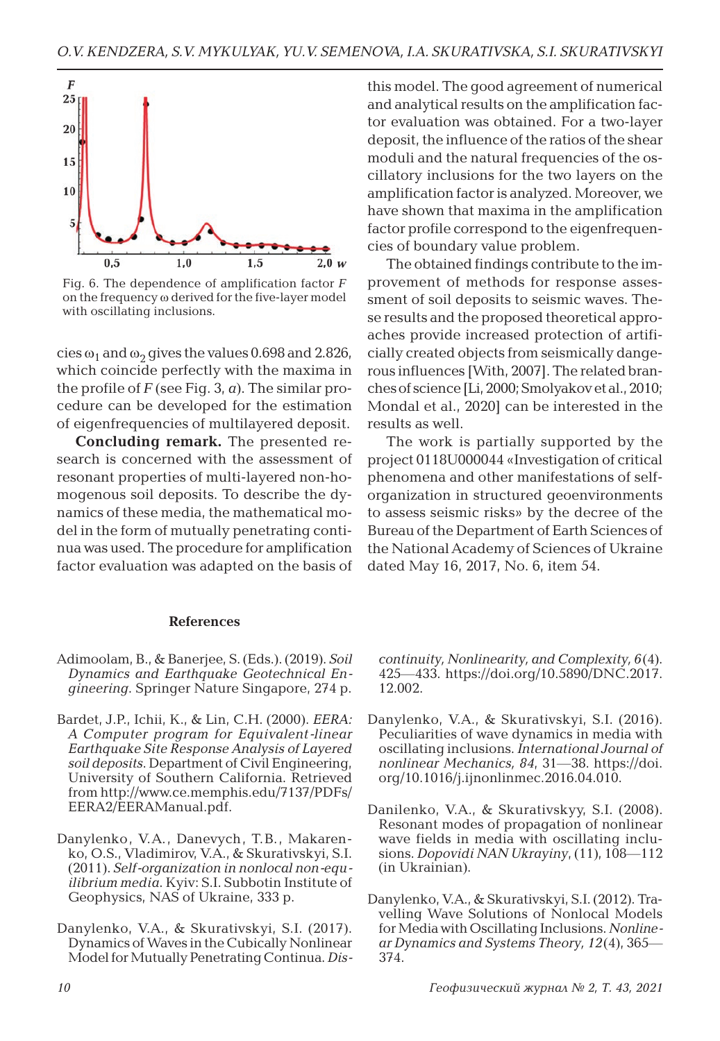

Fig. 6. The dependence of amplification factor *F* on the frequency ω derived for the five-layer model with oscillating inclusions.

cies  $\omega_1$  and  $\omega_2$  gives the values 0.698 and 2.826, which coincide perfectly with the maxima in the profile of *F* (see Fig. 3, *a*). The similar procedure can be developed for the estimation of eigenfrequencies of multilayered deposit.

**Concluding remark.** The presented research is concerned with the assessment of resonant properties of multi-layered non-homogenous soil deposits. To describe the dynamics of these media, the mathematical model in the form of mutually penetrating continua was used. The procedure for amplification factor evaluation was adapted on the basis of

#### **References**

- Adimoolam, B., & Banerjee, S. (Eds.). (2019). *Soil Dynamics and Earthquake Geotechnical Engineering*. Springer Nature Singapore, 274 p.
- Bardet, J.P., Ichii, K., & Lin, C.H. (2000). *EERA: A Computer program for Equivalent-linear Earthquake Site Response Analysis of Layered soil deposits*. Department of Civil Engineering, University of Southern California. Retrieved from http://www.ce.memphis.edu/7137/PDFs/ EERA2/EERAManual.pdf.
- Danylenko, V.A., Danevych, T.B., Makarenko, O.S., Vladimirov, V.A., & Skurativskyi, S.I. (2011). *Self-organization in nonlocal non-equilibrium media*. Kyiv: S.I. Subbotin Institute of Geophysics, NAS of Ukraine, 333 p.
- Danylenko, V.A., & Skurativskyi, S.I. (2017). Dynamics of Waves in the Cubically Nonlinear Model for Mutually Penetrating Continua. *Dis-*

this model. The good agreement of numerical and analytical results on the amplification factor evaluation was obtained. For a two-layer deposit, the influence of the ratios of the shear moduli and the natural frequencies of the oscillatory inclusions for the two layers on the amplification factor is analyzed. Moreover, we have shown that maxima in the amplification factor profile correspond to the eigenfrequencies of boundary value problem.

The obtained findings contribute to the improvement of methods for response assessment of soil deposits to seismic waves. These results and the proposed theoretical approaches provide increased protection of artificially created objects from seismically dangerous influences [With, 2007]. The related branches of science [Li, 2000; Smolyakov et al., 2010; Mondal et al., 2020] can be interested in the results as well.

The work is partially supported by the project 0118U000044 «Investigation of critical phenomena and other manifestations of selforganization in structured geoenvironments to assess seismic risks» by the decree of the Bureau of the Department of Earth Sciences of the National Academy of Sciences of Ukraine dated May 16, 2017, No. 6, item 54.

*continuity, Nonlinearity, and Complexity, 6*(4). 425—433. https://doi.org/10.5890/DNC.2017. 12.002.

- Danylenko, V.A., & Skurativskyi, S.I. (2016). Peculiarities of wave dynamics in media with oscillating inclusions. *International Journal of nonlinear Mechanics, 84*, 31—38. https://doi. org/10.1016/j.ijnonlinmec.2016.04.010.
- Danilenko, V.A., & Skurativskyy, S.I. (2008). Resonant modes of propagation of nonlinear wave fields in media with oscillating inclusions. *Dopovidi NAN Ukrayiny*, (11), 108—112 (in Ukrainian).
- Danylenko, V.A., & Skurativskyi, S.I. (2012). Travelling Wave Solutions of Nonlocal Models for Media with Oscillating Inclusions. *Nonlinear Dynamics and Systems Theory, 12*(4), 365— 374.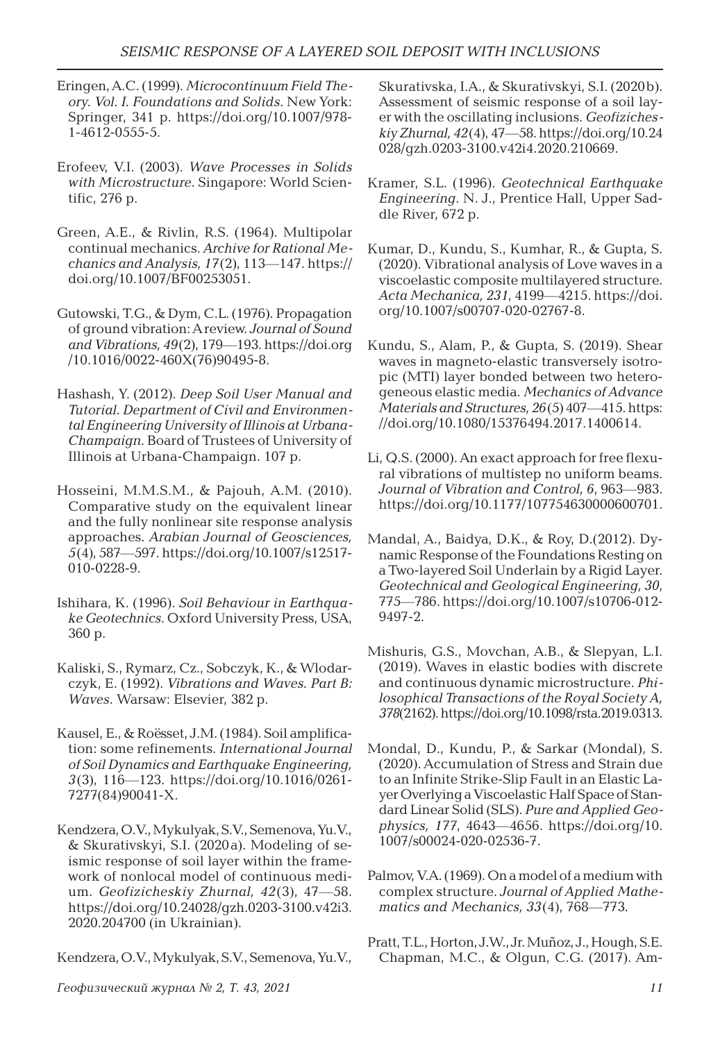- Eringen, A.C. (1999). *Microcontinuum Field Theory. Vol. I. Foundations and Solids*. New York: Springer, 341 p. https://doi.org/10.1007/978- 1-4612-0555-5.
- Erofeev, V.I. (2003). *Wave Processes in Solids with Microstructure*. Singapore: World Scientific, 276 p.
- Green, A.E., & Rivlin, R.S. (1964). Multipolar continual mechanics. *Archive for Rational Mechanics and Analysis, 17*(2), 113—147. https:// doi.org/10.1007/BF00253051.
- Gutowski, T.G., & Dym, C.L. (1976). Propagation of ground vibration: A review. *Journal of Sound and Vibrations, 49*(2), 179—193. https://doi.org /10.1016/0022-460X(76)90495-8.
- Hashash, Y. (2012). *Deep Soil User Manual and Tutorial. Department of Civil and Environmental Engineering University of Illinois at Urbana-Champaign*. Board of Trustees of University of Illinois at Urbana-Champaign. 107 p.
- Hosseini, M.M.S.M., & Pajouh, A.M. (2010). Comparative study on the equivalent linear and the fully nonlinear site response analysis approaches. *Arabian Journal of Geosciences, 5*(4), 587—597. https://doi.org/10.1007/s12517- 010-0228-9.
- Ishihara, K. (1996). *Soil Behaviour in Earthquake Geotechnics*. Oxford University Press, USA, 360 p.
- Kaliski, S., Rymarz, Cz., Sobczyk, K., & Wlodarczyk, E. (1992). *Vibrations and Waves. Part B: Waves*. Warsaw: Elsevier, 382 p.
- Kausel, E., & Roёsset, J.M. (1984). Soil amplification: some refinements. *International Journal of Soil Dynamics and Earthquake Engineering, 3*(3), 116—123. https://doi.org/10.1016/0261- 7277(84)90041-X.
- Kendzera, O.V., Mykulyak, S.V., Semenova, Yu.V., & Skurativskyi, S.I. (2020a). Modeling of seismic response of soil layer within the framework of nonlocal model of continuous medium. *Geofizicheskiy Zhurnal, 42*(3), 47—58. https://doi.org/10.24028/gzh.0203-3100.v42i3. 2020.204700 (in Ukrainian).

Kendzera, O.V., Mykulyak, S.V., Semenova, Yu.V.,

Skurativska, I.A., & Skurativskyi, S.I. (2020b). Assessment of seismic response of a soil layer with the oscillating inclusions. *Geofizicheskiy Zhurnal, 42*(4), 47—58. https://doi.org/10.24 028/gzh.0203-3100.v42i4.2020.210669.

- Kramer, S.L. (1996). *Geotechnical Earthquake Engineering*. N. J., Prentice Hall, Upper Saddle River, 672 p.
- Kumar, D., Kundu, S., Kumhar, R., & Gupta, S. (2020). Vibrational analysis of Love waves in a viscoelastic composite multilayered structure. *Acta Mechanica, 231*, 4199—4215. https://doi. org/10.1007/s00707-020-02767-8.
- Kundu, S., Alam, P., & Gupta, S. (2019). Shear waves in magneto-elastic transversely isotropic (MTI) layer bonded between two heterogeneous elastic media. *Mechanics of Advance Materials and Structures, 26*(5) 407—415. https: //doi.org/10.1080/15376494.2017.1400614.
- Li, Q.S. (2000). An exact approach for free flexural vibrations of multistep no uniform beams. *Journal of Vibration and Control, 6*, 963—983. https://doi.org/10.1177/107754630000600701.
- Mandal, A., Baidya, D.K., & Roy, D.(2012). Dynamic Response of the Foundations Resting on a Two-layered Soil Underlain by a Rigid Layer. *Geotechnical and Geological Engineering, 30*, 775—786. https://doi.org/10.1007/s10706-012- 9497-2.
- Mishuris, G.S., Movchan, A.B., & Slepyan, L.I. (2019). Waves in elastic bodies with discrete and continuous dynamic microstructure. *Philosophical Transactions of the Royal Society A, 378*(2162). https://doi.org/10.1098/rsta.2019.0313.
- Mondal, D., Kundu, P., & Sarkar (Mondal), S. (2020). Accumulation of Stress and Strain due to an Infinite Strike-Slip Fault in an Elastic Layer Overlying a Viscoelastic Half Space of Standard Linear Solid (SLS). *Pure and Applied Geophysics, 177*, 4643—4656. https://doi.org/10. 1007/s00024-020-02536-7.
- Palmov, V.A. (1969). On a model of a medium with complex structure. *Journal of Applied Mathematics and Mechanics, 33*(4), 768—773*.*
- Pratt, T.L., Horton, J.W., Jr. Muñoz, J., Hough, S.E. Chapman, M.C., & Olgun, C.G. (2017). Am-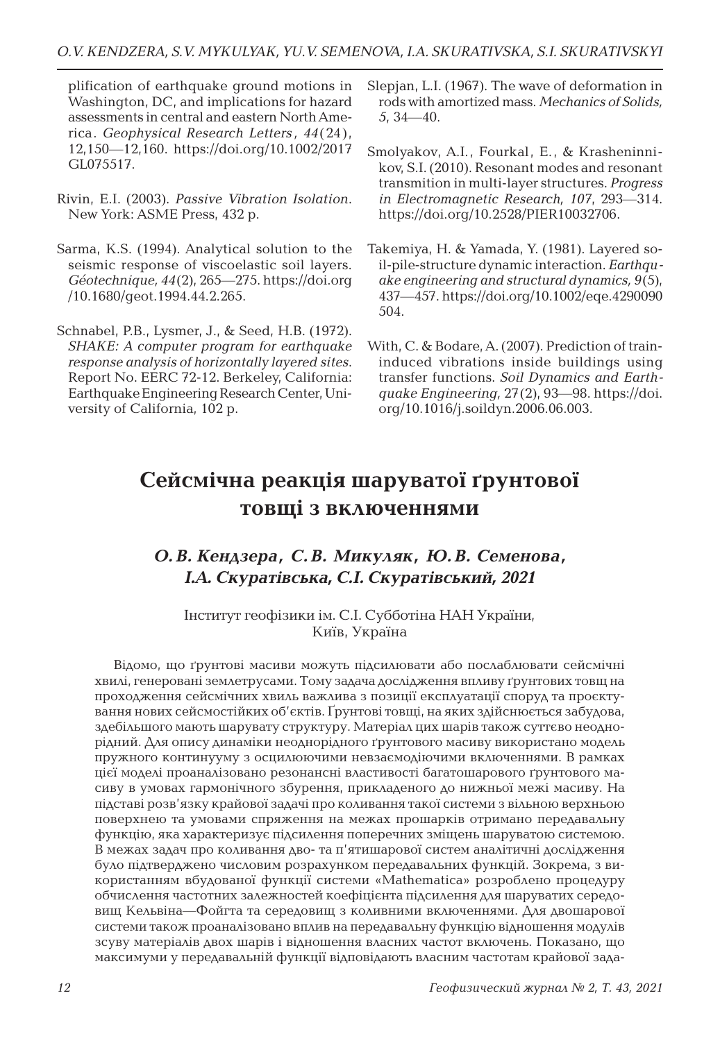plification of earthquake ground motions in Washington, DC, and implications for hazard assessments in central and eastern North America. *Geophysical Research Letters , 44*(24), 12,150—12,160. https://doi.org/10.1002/2017 GL075517.

- Rivin, E.I. (2003). *Passive Vibration Isolation*. New York: ASME Press, 432 p.
- Sarma, K.S. (1994). Analytical solution to the seismic response of viscoelastic soil layers. *Géotechnique, 44*(2), 265—275. https://doi.org /10.1680/geot.1994.44.2.265.
- Schnabel, P.B., Lysmer, J., & Seed, H.B. (1972). *SHAKE: A computer program for earthquake response analysis of horizontally layered sites*. Report No. EERC 72-12. Berkeley, California: Earthquake Engineering Research Center, University of California, 102 p.
- Slepjan, L.I. (1967). The wave of deformation in rods with amortized mass. *Mechanics of Solids, 5*, 34—40.
- Smolyakov, A.I., Fourkal, E., & Krasheninnikov, S.I. (2010). Resonant modes and resonant transmition in multi-layer structures. *Progress in Electromagnetic Research, 107*, 293—314. https://doi.org/10.2528/PIER10032706.
- Takemiya, H. & Yamada, Y. (1981). Layered soil-pile-structure dynamic interaction. *Earthquake engineering and structural dynamics, 9*(5), 437—457. https://doi.org/10.1002/eqe.4290090 504.
- With, C. & Bodare, A. (2007). Prediction of traininduced vibrations inside buildings using transfer functions. *Soil Dynamics and Earthquake Engineering,* 27(2), 93—98. https://doi. org/10.1016/j.soildyn.2006.06.003.

# **Сейсмічна реакція шаруватої ґрунтової товщі з включеннями**

## *О. В. Кендзера, С. В. Микуляк, Ю. В. Семенова, І.А. Скуратівська, С.І. Скуратівський, 2021*

Інститут геофізики ім. С.І. Субботіна НАН України, Київ, Україна

Відомо, що ґрунтові масиви можуть підсилювати або послаблювати сейсмічні хвилі, генеровані землетрусами. Тому задача дослідження впливу ґрунтових товщ на проходження сейсмічних хвиль важлива з позиції експлуатації споруд та проєктування нових сейсмостійких об'єктів. Ґрунтові товщі, на яких здійснюється забудова, здебільшого мають шарувату структуру. Матеріал цих шарів також суттєво неоднорідний. Для опису динаміки неоднорідного ґрунтового масиву використано модель пружного континууму з осцилюючими невзаємодіючими включеннями. В рамках цієї моделі проаналізовано резонансні властивості багатошарового ґрунтового масиву в умовах гармонічного збурення, прикладеного до нижньої межі масиву. На підставі розв'язку крайової задачі про коливання такої системи з вільною верхньою поверхнею та умовами спряження на межах прошарків отримано передавальну функцію, яка характеризує підсилення поперечних зміщень шаруватою системою. В межах задач про коливання дво- та п'ятишарової систем аналітичні дослідження було підтверджено числовим розрахунком передавальних функцій. Зокрема, з використанням вбудованої функції системи «Mathematica» розроблено процедуру обчислення частотних залежностей коефіцієнта підсилення для шаруватих середовищ Кельвіна—Фойгта та середовищ з коливними включеннями. Для двошарової системи також проаналізовано вплив на передавальну функцію відношення модулів зсуву матеріалів двох шарів і відношення власних частот включень. Показано, що максимуми у передавальній функції відповідають власним частотам крайової зада-